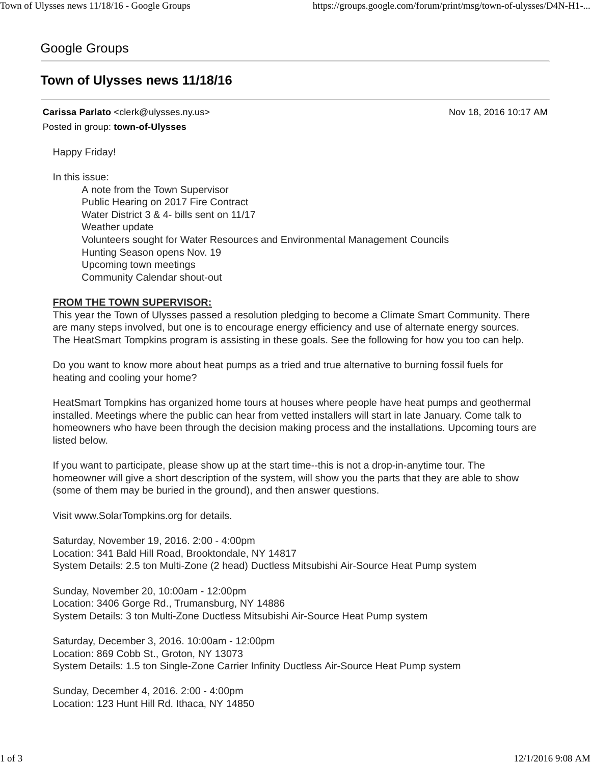# Google Groups

# **Town of Ulysses news 11/18/16**

**Carissa Parlato** <clerk@ulysses.ny.us> Nov 18, 2016 10:17 AM Posted in group: **town-of-Ulysses**

Happy Friday!

In this issue:

A note from the Town Supervisor Public Hearing on 2017 Fire Contract Water District 3 & 4- bills sent on 11/17 Weather update Volunteers sought for Water Resources and Environmental Management Councils Hunting Season opens Nov. 19 Upcoming town meetings Community Calendar shout-out

#### **FROM THE TOWN SUPERVISOR:**

This year the Town of Ulysses passed a resolution pledging to become a Climate Smart Community. There are many steps involved, but one is to encourage energy efficiency and use of alternate energy sources. The HeatSmart Tompkins program is assisting in these goals. See the following for how you too can help.

Do you want to know more about heat pumps as a tried and true alternative to burning fossil fuels for heating and cooling your home?

HeatSmart Tompkins has organized home tours at houses where people have heat pumps and geothermal installed. Meetings where the public can hear from vetted installers will start in late January. Come talk to homeowners who have been through the decision making process and the installations. Upcoming tours are listed below.

If you want to participate, please show up at the start time--this is not a drop-in-anytime tour. The homeowner will give a short description of the system, will show you the parts that they are able to show (some of them may be buried in the ground), and then answer questions.

Visit www.SolarTompkins.org for details.

Saturday, November 19, 2016. 2:00 - 4:00pm Location: 341 Bald Hill Road, Brooktondale, NY 14817 System Details: 2.5 ton Multi-Zone (2 head) Ductless Mitsubishi Air-Source Heat Pump system

Sunday, November 20, 10:00am - 12:00pm Location: 3406 Gorge Rd., Trumansburg, NY 14886 System Details: 3 ton Multi-Zone Ductless Mitsubishi Air-Source Heat Pump system

Saturday, December 3, 2016. 10:00am - 12:00pm Location: 869 Cobb St., Groton, NY 13073 System Details: 1.5 ton Single-Zone Carrier Infinity Ductless Air-Source Heat Pump system

Sunday, December 4, 2016. 2:00 - 4:00pm Location: 123 Hunt Hill Rd. Ithaca, NY 14850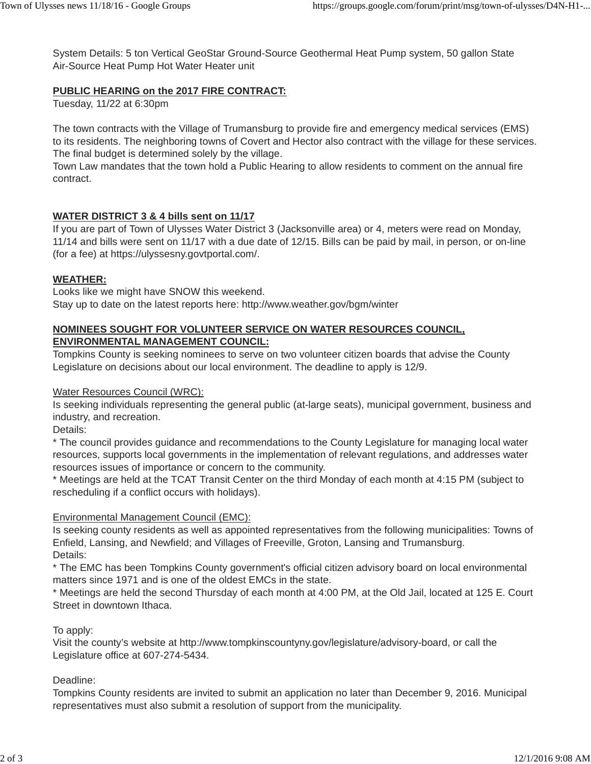System Details: 5 ton Vertical GeoStar Ground-Source Geothermal Heat Pump system, 50 gallon State Air-Source Heat Pump Hot Water Heater unit

### **PUBLIC HEARING on the 2017 FIRE CONTRACT:**

Tuesday, 11/22 at 6:30pm

The town contracts with the Village of Trumansburg to provide fire and emergency medical services (EMS) to its residents. The neighboring towns of Covert and Hector also contract with the village for these services. The final budget is determined solely by the village.

Town Law mandates that the town hold a Public Hearing to allow residents to comment on the annual fire contract.

## **WATER DISTRICT 3 & 4 bills sent on 11/17**

If you are part of Town of Ulysses Water District 3 (Jacksonville area) or 4, meters were read on Monday, 11/14 and bills were sent on 11/17 with a due date of 12/15. Bills can be paid by mail, in person, or on-line (for a fee) at https://ulyssesny.govtportal.com/.

#### **WEATHER:**

Looks like we might have SNOW this weekend. Stay up to date on the latest reports here: http://www.weather.gov/bgm/winter

## **NOMINEES SOUGHT FOR VOLUNTEER SERVICE ON WATER RESOURCES COUNCIL, ENVIRONMENTAL MANAGEMENT COUNCIL:**

Tompkins County is seeking nominees to serve on two volunteer citizen boards that advise the County Legislature on decisions about our local environment. The deadline to apply is 12/9.

#### Water Resources Council (WRC):

Is seeking individuals representing the general public (at-large seats), municipal government, business and industry, and recreation.

Details:

\* The council provides guidance and recommendations to the County Legislature for managing local water resources, supports local governments in the implementation of relevant regulations, and addresses water resources issues of importance or concern to the community.

\* Meetings are held at the TCAT Transit Center on the third Monday of each month at 4:15 PM (subject to rescheduling if a conflict occurs with holidays).

#### Environmental Management Council (EMC):

Is seeking county residents as well as appointed representatives from the following municipalities: Towns of Enfield, Lansing, and Newfield; and Villages of Freeville, Groton, Lansing and Trumansburg. Details:

\* The EMC has been Tompkins County government's official citizen advisory board on local environmental matters since 1971 and is one of the oldest EMCs in the state.

\* Meetings are held the second Thursday of each month at 4:00 PM, at the Old Jail, located at 125 E. Court Street in downtown Ithaca.

#### To apply:

Visit the county's website at http://www.tompkinscountyny.gov/legislature/advisory-board, or call the Legislature office at 607-274-5434.

#### Deadline:

Tompkins County residents are invited to submit an application no later than December 9, 2016. Municipal representatives must also submit a resolution of support from the municipality.